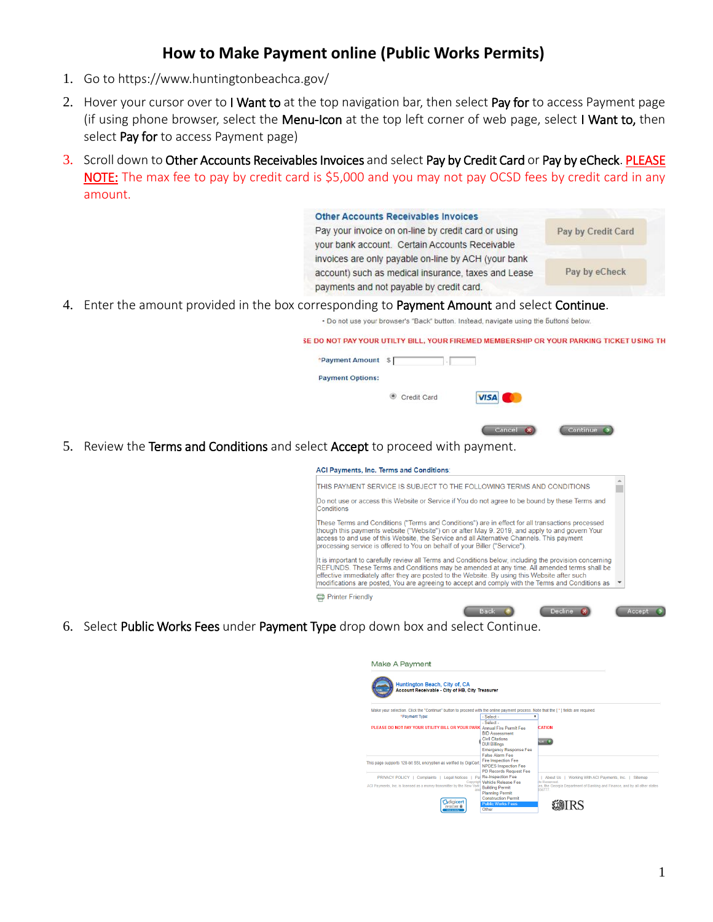## **How to Make Payment online (Public Works Permits)**

- 1. Go to<https://www.huntingtonbeachca.gov/>
- 2. Hover your cursor over to I Want to at the top navigation bar, then select Pay for to access Payment page (if using phone browser, select the Menu-Icon at the top left corner of web page, select I Want to, then select Pay for to access Payment page)
- 3. Scroll down to Other Accounts Receivables Invoices and select Pay by Credit Card or Pay by eCheck. PLEASE NOTE: The max fee to pay by credit card is \$5,000 and you may not pay OCSD fees by credit card in any amount.

|    | <b>Other Accounts Receivables Invoices</b>                                                                                                                                                                                                                                                                                                                                                               |                    |
|----|----------------------------------------------------------------------------------------------------------------------------------------------------------------------------------------------------------------------------------------------------------------------------------------------------------------------------------------------------------------------------------------------------------|--------------------|
|    | Pay your invoice on on-line by credit card or using                                                                                                                                                                                                                                                                                                                                                      | Pay by Credit Card |
|    | your bank account. Certain Accounts Receivable                                                                                                                                                                                                                                                                                                                                                           |                    |
|    | invoices are only payable on-line by ACH (your bank<br>account) such as medical insurance, taxes and Lease                                                                                                                                                                                                                                                                                               | Pay by eCheck      |
|    | payments and not payable by credit card.                                                                                                                                                                                                                                                                                                                                                                 |                    |
|    | 4. Enter the amount provided in the box corresponding to Payment Amount and select Continue.                                                                                                                                                                                                                                                                                                             |                    |
|    | . Do not use your browser's "Back" button, Instead, navigate using the buttons below.                                                                                                                                                                                                                                                                                                                    |                    |
|    | SE DO NOT PAY YOUR UTILTY BILL, YOUR FIREMED MEMBERSHIP OR YOUR PARKING TICKET USING TH                                                                                                                                                                                                                                                                                                                  |                    |
|    | *Payment Amount \$                                                                                                                                                                                                                                                                                                                                                                                       |                    |
|    | <b>Payment Options:</b>                                                                                                                                                                                                                                                                                                                                                                                  |                    |
|    |                                                                                                                                                                                                                                                                                                                                                                                                          |                    |
|    | Credit Card<br><b>VISA</b>                                                                                                                                                                                                                                                                                                                                                                               |                    |
|    |                                                                                                                                                                                                                                                                                                                                                                                                          |                    |
|    | Cancel                                                                                                                                                                                                                                                                                                                                                                                                   | Continue           |
| 5. | Review the Terms and Conditions and select Accept to proceed with payment.                                                                                                                                                                                                                                                                                                                               |                    |
|    | ACI Payments, Inc. Terms and Conditions:                                                                                                                                                                                                                                                                                                                                                                 |                    |
|    | ITHIS PAYMENT SERVICE IS SUBJECT TO THE FOLLOWING TERMS AND CONDITIONS                                                                                                                                                                                                                                                                                                                                   |                    |
|    | Do not use or access this Website or Service if You do not agree to be bound by these Terms and<br>Conditions                                                                                                                                                                                                                                                                                            |                    |
|    | These Terms and Conditions ("Terms and Conditions") are in effect for all transactions processed<br>though this payments website ("Website") on or after May 9, 2019, and apply to and govern Your<br>access to and use of this Website, the Service and all Alternative Channels. This payment<br>processing service is offered to You on behalf of your Biller ("Service").                            |                    |
|    | It is important to carefully review all Terms and Conditions below, including the provision concerning<br>REFUNDS. These Terms and Conditions may be amended at any time. All amended terms shall be<br>effective immediately after they are posted to the Website. By using this Website after such<br>modifications are posted. You are agreeing to accept and comply with the Terms and Conditions as |                    |

6. Select Public Works Fees under Payment Type drop down box and select Continue.

Printer Friendly

| Make A Payment<br>Huntington Beach, City of, CA<br>Account Receivable - City of HB. City Treasurer                                                |                                                                                                                                   |                                                                                                                                                                   |
|---------------------------------------------------------------------------------------------------------------------------------------------------|-----------------------------------------------------------------------------------------------------------------------------------|-------------------------------------------------------------------------------------------------------------------------------------------------------------------|
| Make vour selection. Click the "Continue" button to proceed with the online payment process. Note that the [*] fields are required.               |                                                                                                                                   |                                                                                                                                                                   |
| *Payment Type:                                                                                                                                    | - Select -<br>- Select -                                                                                                          |                                                                                                                                                                   |
| PLEASE DO NOT PAY YOUR UTILITY BILL OR YOUR PARK Annual Fire Permit Fee                                                                           | <b>BID Assessment</b><br><b>Civil Citations</b><br><b>DUI Billings</b><br><b>Emergency Response Fee</b><br><b>False Alarm Fee</b> | CATION<br>nue C                                                                                                                                                   |
| This page supports 128-bit SSL encryption as verified by DigiCert                                                                                 | <b>Fire Inspection Fee</b><br><b>NPDES Inspection Fee</b><br>PD Records Request Fee                                               |                                                                                                                                                                   |
| Complaints   Legal Notices<br>PRIVACY POLICY  <br>Par<br>Copyrigh<br>ACI Payments, Inc. is licensed as a money transmitter by the New York<br>and | <b>Re-Inspection Fee</b><br>Vehicle Release Fee<br><b>Building Permit</b><br><b>Planning Permit</b>                               | Working With ACI Payments, Inc.  <br>Siteman<br>About Us<br>its Reserved.<br>es, the Georgia Department of Banking and Finance, and by all other states<br>936777 |
| <b><i><u><u>Adigicert</u></u></i></b><br><b>EV SECURE D</b><br>Click to Verify                                                                    | <b>Construction Permit</b><br><b>Public Works Fees</b><br>Other                                                                   |                                                                                                                                                                   |

Back (C)

Decline 8

Accept 2